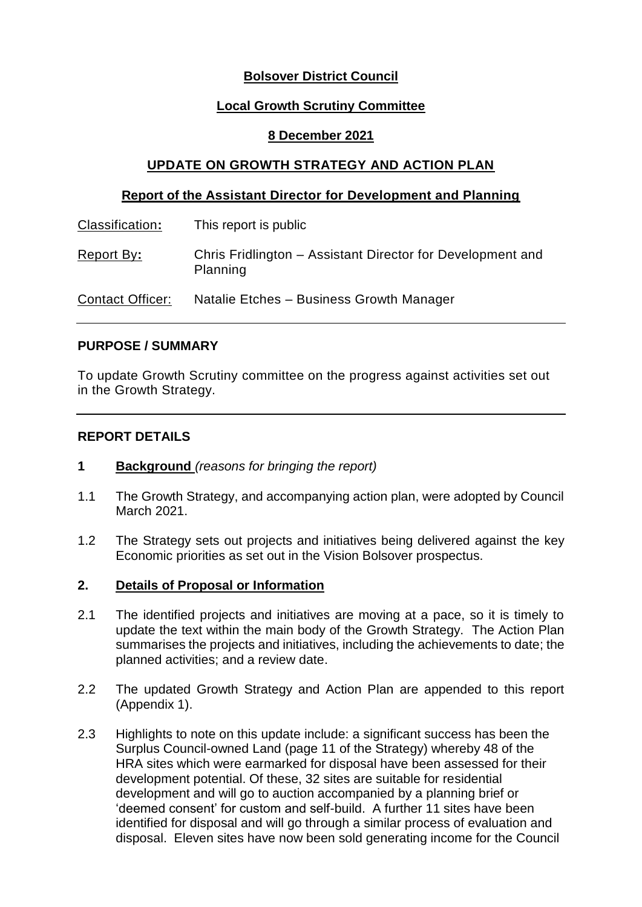# **Bolsover District Council**

## **Local Growth Scrutiny Committee**

### **8 December 2021**

## **UPDATE ON GROWTH STRATEGY AND ACTION PLAN**

### **Report of the Assistant Director for Development and Planning**

| Classification:         | This report is public                                                  |
|-------------------------|------------------------------------------------------------------------|
| Report By:              | Chris Fridlington – Assistant Director for Development and<br>Planning |
| <b>Contact Officer:</b> | Natalie Etches - Business Growth Manager                               |

### **PURPOSE / SUMMARY**

To update Growth Scrutiny committee on the progress against activities set out in the Growth Strategy.

### **REPORT DETAILS**

- **1 Background** *(reasons for bringing the report)*
- 1.1 The Growth Strategy, and accompanying action plan, were adopted by Council March 2021.
- 1.2 The Strategy sets out projects and initiatives being delivered against the key Economic priorities as set out in the Vision Bolsover prospectus.

### **2. Details of Proposal or Information**

- 2.1 The identified projects and initiatives are moving at a pace, so it is timely to update the text within the main body of the Growth Strategy. The Action Plan summarises the projects and initiatives, including the achievements to date; the planned activities; and a review date.
- 2.2 The updated Growth Strategy and Action Plan are appended to this report (Appendix 1).
- 2.3 Highlights to note on this update include: a significant success has been the Surplus Council-owned Land (page 11 of the Strategy) whereby 48 of the HRA sites which were earmarked for disposal have been assessed for their development potential. Of these, 32 sites are suitable for residential development and will go to auction accompanied by a planning brief or 'deemed consent' for custom and self-build. A further 11 sites have been identified for disposal and will go through a similar process of evaluation and disposal. Eleven sites have now been sold generating income for the Council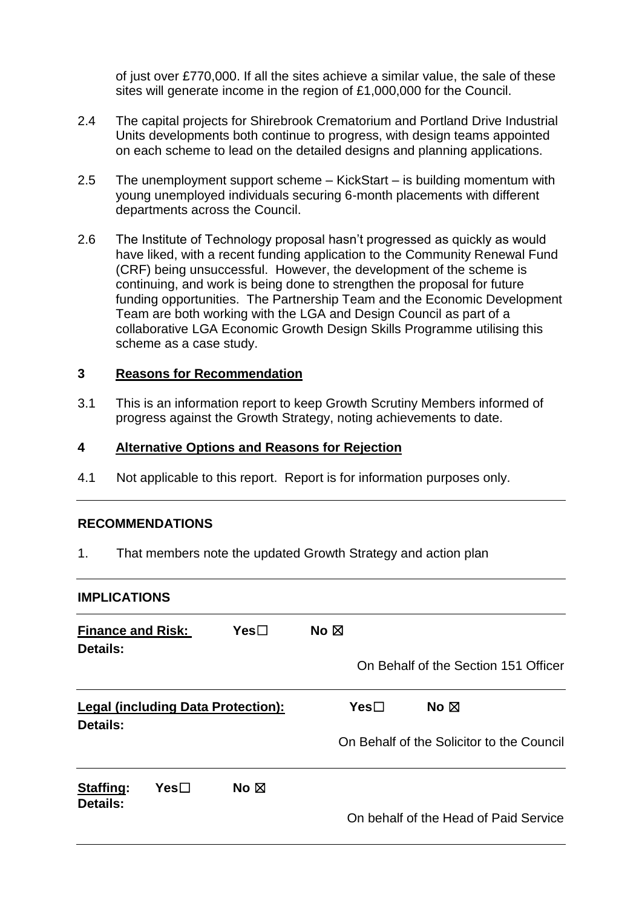of just over £770,000. If all the sites achieve a similar value, the sale of these sites will generate income in the region of £1,000,000 for the Council.

- 2.4 The capital projects for Shirebrook Crematorium and Portland Drive Industrial Units developments both continue to progress, with design teams appointed on each scheme to lead on the detailed designs and planning applications.
- 2.5 The unemployment support scheme KickStart is building momentum with young unemployed individuals securing 6-month placements with different departments across the Council.
- 2.6 The Institute of Technology proposal hasn't progressed as quickly as would have liked, with a recent funding application to the Community Renewal Fund (CRF) being unsuccessful. However, the development of the scheme is continuing, and work is being done to strengthen the proposal for future funding opportunities. The Partnership Team and the Economic Development Team are both working with the LGA and Design Council as part of a collaborative LGA Economic Growth Design Skills Programme utilising this scheme as a case study.

# **3 Reasons for Recommendation**

3.1 This is an information report to keep Growth Scrutiny Members informed of progress against the Growth Strategy, noting achievements to date.

#### **4 Alternative Options and Reasons for Rejection**

4.1 Not applicable to this report. Report is for information purposes only.

### **RECOMMENDATIONS**

1. That members note the updated Growth Strategy and action plan

#### **IMPLICATIONS**

| <b>Finance and Risk:</b><br>Details:                  |      | Yes <sub>1</sub> | No $\boxtimes$ |                                           |  |
|-------------------------------------------------------|------|------------------|----------------|-------------------------------------------|--|
|                                                       |      |                  |                | On Behalf of the Section 151 Officer      |  |
| <b>Legal (including Data Protection):</b><br>Details: |      | Yes <sub>1</sub> | No $\boxtimes$ |                                           |  |
|                                                       |      |                  |                | On Behalf of the Solicitor to the Council |  |
| <b>Staffing:</b><br>Details:                          | Yes⊟ | No $\boxtimes$   |                |                                           |  |
|                                                       |      |                  |                | On behalf of the Head of Paid Service     |  |